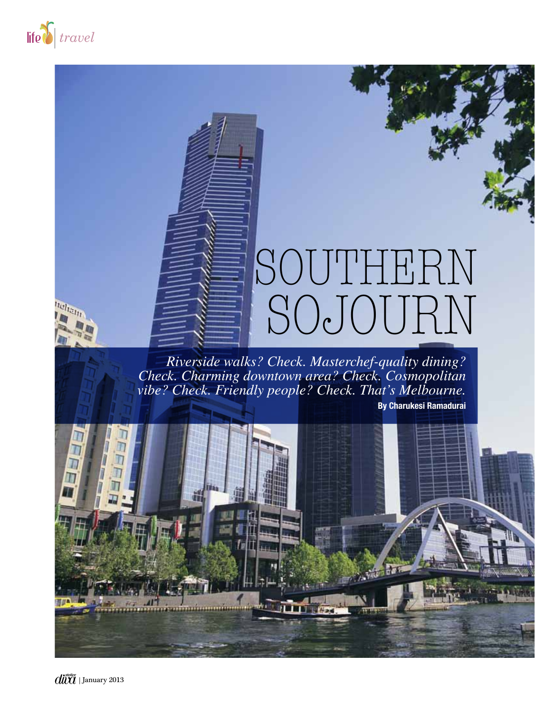

**Itelian** 

## southern sojourn

*Riverside walks? Check. Masterchef-quality dining? Check. Charming downtown area? Check. Cosmopolitan vibe? Check. Friendly people? Check. That's Melbourne.*

 **By Charukesi Ramadurai**

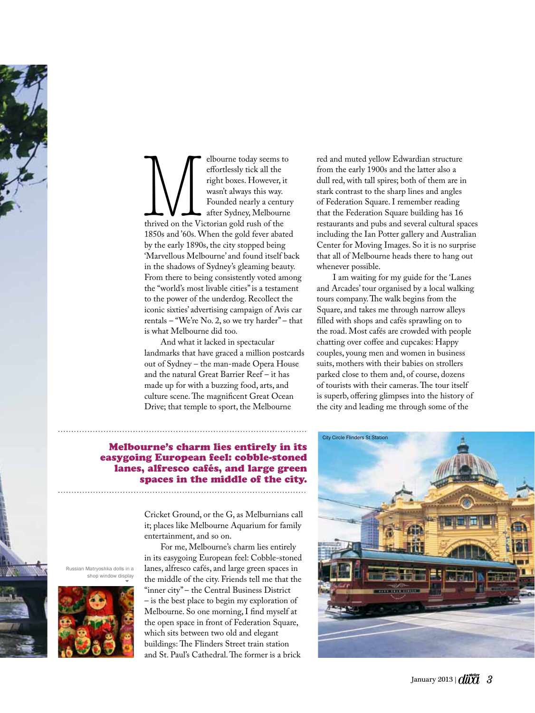

Elbourne today seems to<br>
effortlessly tick all the<br>
right boxes. However, it<br>
wasn't always this way.<br>
Founded nearly a centur<br>
thrived on the Victorian gold rush of the<br>
1850s and '60s. When the gold fever abated effortlessly tick all the right boxes. However, it wasn't always this way. Founded nearly a century after Sydney, Melbourne thrived on the Victorian gold rush of the 1850s and '60s. When the gold fever abated by the early 1890s, the city stopped being 'Marvellous Melbourne' and found itself back in the shadows of Sydney's gleaming beauty. From there to being consistently voted among the "world's most livable cities" is a testament to the power of the underdog. Recollect the iconic sixties' advertising campaign of Avis car rentals – "We're No. 2, so we try harder" – that is what Melbourne did too.

And what it lacked in spectacular landmarks that have graced a million postcards out of Sydney – the man-made Opera House and the natural Great Barrier Reef – it has made up for with a buzzing food, arts, and culture scene. The magnificent Great Ocean Drive; that temple to sport, the Melbourne

## Melbourne's charm lies entirely in its easygoing European feel: cobble-stoned lanes, alfresco cafés, and large green spaces in the middle of the city.

Cricket Ground, or the G, as Melburnians call it; places like Melbourne Aquarium for family entertainment, and so on.

For me, Melbourne's charm lies entirely in its easygoing European feel: Cobble-stoned lanes, alfresco cafés, and large green spaces in the middle of the city. Friends tell me that the "inner city" – the Central Business District – is the best place to begin my exploration of Melbourne. So one morning, I find myself at the open space in front of Federation Square, which sits between two old and elegant buildings: The Flinders Street train station and St. Paul's Cathedral. The former is a brick

red and muted yellow Edwardian structure from the early 1900s and the latter also a dull red, with tall spires; both of them are in stark contrast to the sharp lines and angles of Federation Square. I remember reading that the Federation Square building has 16 restaurants and pubs and several cultural spaces including the Ian Potter gallery and Australian Center for Moving Images. So it is no surprise that all of Melbourne heads there to hang out whenever possible.

I am waiting for my guide for the 'Lanes and Arcades' tour organised by a local walking tours company. The walk begins from the Square, and takes me through narrow alleys filled with shops and cafés sprawling on to the road. Most cafés are crowded with people chatting over coffee and cupcakes: Happy couples, young men and women in business suits, mothers with their babies on strollers parked close to them and, of course, dozens of tourists with their cameras. The tour itself is superb, offering glimpses into the history of the city and leading me through some of the



Russian Matryoshka dolls in a shop window display

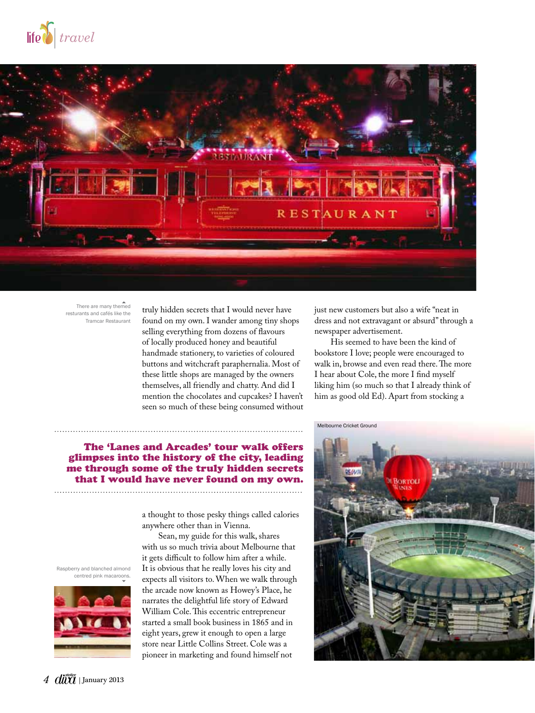



There are many themed resturants and cafés like the Tramcar Restaurant

truly hidden secrets that I would never have found on my own. I wander among tiny shops selling everything from dozens of flavours of locally produced honey and beautiful handmade stationery, to varieties of coloured buttons and witchcraft paraphernalia. Most of these little shops are managed by the owners themselves, all friendly and chatty. And did I mention the chocolates and cupcakes? I haven't seen so much of these being consumed without

just new customers but also a wife "neat in dress and not extravagant or absurd" through a newspaper advertisement.

His seemed to have been the kind of bookstore I love; people were encouraged to walk in, browse and even read there. The more I hear about Cole, the more I find myself liking him (so much so that I already think of him as good old Ed). Apart from stocking a

**IOWTOL** 

Melbourne Cricket Ground

## The 'Lanes and Arcades' tour walk offers glimpses into the history of the city, leading me through some of the truly hidden secrets that I would have never found on my own.

a thought to those pesky things called calories anywhere other than in Vienna. Sean, my guide for this walk, shares

with us so much trivia about Melbourne that it gets difficult to follow him after a while. It is obvious that he really loves his city and expects all visitors to. When we walk through the arcade now known as Howey's Place, he narrates the delightful life story of Edward William Cole. This eccentric entrepreneur started a small book business in 1865 and in eight years, grew it enough to open a large store near Little Collins Street. Cole was a pioneer in marketing and found himself not

Raspberry and blanched almond centred pink macaroons.